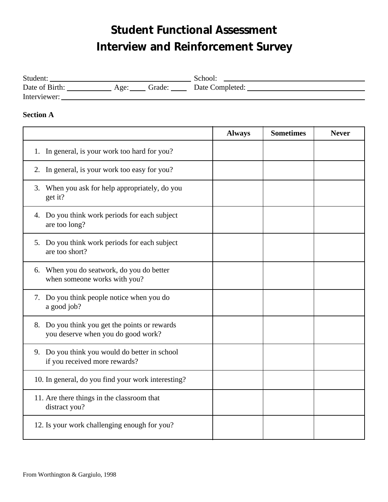# **Student Functional Assessment Interview and Reinforcement Survey**

| Student:       |      |        | School.         |
|----------------|------|--------|-----------------|
| Date of Birth: | Age: | Grade: | Date Completed: |
| Interviewer:   |      |        |                 |

### **Section A**

|                                                                                     | <b>Always</b> | <b>Sometimes</b> | <b>Never</b> |
|-------------------------------------------------------------------------------------|---------------|------------------|--------------|
| 1. In general, is your work too hard for you?                                       |               |                  |              |
| 2. In general, is your work too easy for you?                                       |               |                  |              |
| 3. When you ask for help appropriately, do you<br>get it?                           |               |                  |              |
| 4. Do you think work periods for each subject<br>are too long?                      |               |                  |              |
| 5. Do you think work periods for each subject<br>are too short?                     |               |                  |              |
| 6. When you do seatwork, do you do better<br>when someone works with you?           |               |                  |              |
| 7. Do you think people notice when you do<br>a good job?                            |               |                  |              |
| 8. Do you think you get the points or rewards<br>you deserve when you do good work? |               |                  |              |
| 9. Do you think you would do better in school<br>if you received more rewards?      |               |                  |              |
| 10. In general, do you find your work interesting?                                  |               |                  |              |
| 11. Are there things in the classroom that<br>distract you?                         |               |                  |              |
| 12. Is your work challenging enough for you?                                        |               |                  |              |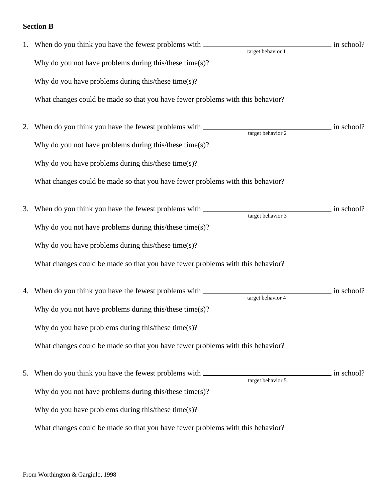# **Section B**

|    | 1. When do you think you have the fewest problems with _________________________                       | $\frac{1}{2}$ in school? |
|----|--------------------------------------------------------------------------------------------------------|--------------------------|
|    | target behavior 1<br>Why do you not have problems during this/these time $(s)$ ?                       |                          |
|    |                                                                                                        |                          |
|    | Why do you have problems during this/these time $(s)$ ?                                                |                          |
|    | What changes could be made so that you have fewer problems with this behavior?                         |                          |
| 2. | When do you think you have the fewest problems with _____________________________<br>target behavior 2 | in school?               |
|    | Why do you not have problems during this/these time(s)?                                                |                          |
|    | Why do you have problems during this/these time $(s)$ ?                                                |                          |
|    | What changes could be made so that you have fewer problems with this behavior?                         |                          |
| 3. | target behavior 3                                                                                      | in school?               |
|    | Why do you not have problems during this/these time $(s)$ ?                                            |                          |
|    | Why do you have problems during this/these time $(s)$ ?                                                |                          |
|    | What changes could be made so that you have fewer problems with this behavior?                         |                          |
| 4. | target behavior 4                                                                                      | in school?               |
|    | Why do you not have problems during this/these time $(s)$ ?                                            |                          |
|    | Why do you have problems during this/these time $(s)$ ?                                                |                          |
|    | What changes could be made so that you have fewer problems with this behavior?                         |                          |
| 5. | target behavior 5                                                                                      | in school?               |
|    | Why do you not have problems during this/these time $(s)$ ?                                            |                          |
|    | Why do you have problems during this/these time $(s)$ ?                                                |                          |
|    | What changes could be made so that you have fewer problems with this behavior?                         |                          |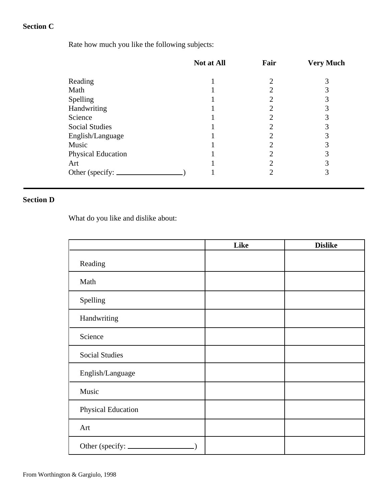# **Section C**

Rate how much you like the following subjects:

| 2                           | 3 |
|-----------------------------|---|
| ∍                           |   |
| 2                           | 3 |
| ◠                           | 3 |
| 2                           |   |
| ∍                           | 3 |
| ⌒                           | 3 |
| ∍                           | 3 |
| ∍                           |   |
| $\mathcal{D}_{\mathcal{A}}$ | 3 |
| ◠                           | 3 |
|                             |   |

## **Section D**

What do you like and dislike about:

|                         | Like | <b>Dislike</b> |
|-------------------------|------|----------------|
| Reading                 |      |                |
| Math                    |      |                |
| Spelling                |      |                |
| Handwriting             |      |                |
| Science                 |      |                |
| <b>Social Studies</b>   |      |                |
| English/Language        |      |                |
| Music                   |      |                |
| Physical Education      |      |                |
| Art                     |      |                |
| Other (specify: _______ |      |                |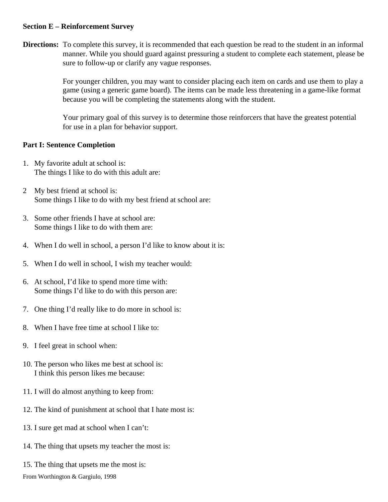#### **Section E – Reinforcement Survey**

**Directions:** To complete this survey, it is recommended that each question be read to the student in an informal manner. While you should guard against pressuring a student to complete each statement, please be sure to follow-up or clarify any vague responses.

> For younger children, you may want to consider placing each item on cards and use them to play a game (using a generic game board). The items can be made less threatening in a game-like format because you will be completing the statements along with the student.

Your primary goal of this survey is to determine those reinforcers that have the greatest potential for use in a plan for behavior support.

### **Part I: Sentence Completion**

- 1. My favorite adult at school is: The things I like to do with this adult are:
- 2 My best friend at school is: Some things I like to do with my best friend at school are:
- 3. Some other friends I have at school are: Some things I like to do with them are:
- 4. When I do well in school, a person I'd like to know about it is:
- 5. When I do well in school, I wish my teacher would:
- 6. At school, I'd like to spend more time with: Some things I'd like to do with this person are:
- 7. One thing I'd really like to do more in school is:
- 8. When I have free time at school I like to:
- 9. I feel great in school when:
- 10. The person who likes me best at school is: I think this person likes me because:
- 11. I will do almost anything to keep from:
- 12. The kind of punishment at school that I hate most is:
- 13. I sure get mad at school when I can't:
- 14. The thing that upsets my teacher the most is:
- 15. The thing that upsets me the most is: